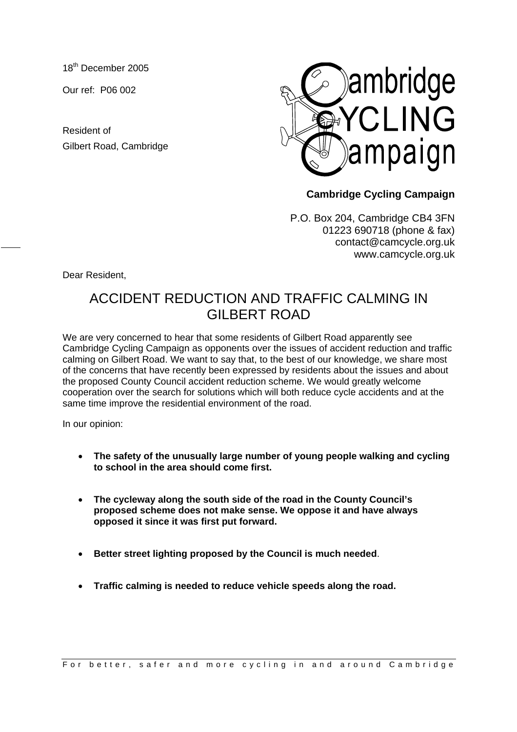18<sup>th</sup> December 2005

Our ref: P06 002

Resident of Gilbert Road, Cambridge



## **Cambridge Cycling Campaign**

P.O. Box 204, Cambridge CB4 3FN 01223 690718 (phone & fax) contact@camcycle.org.uk www.camcycle.org.uk

Dear Resident,

## ACCIDENT REDUCTION AND TRAFFIC CALMING IN GILBERT ROAD

We are very concerned to hear that some residents of Gilbert Road apparently see Cambridge Cycling Campaign as opponents over the issues of accident reduction and traffic calming on Gilbert Road. We want to say that, to the best of our knowledge, we share most of the concerns that have recently been expressed by residents about the issues and about the proposed County Council accident reduction scheme. We would greatly welcome cooperation over the search for solutions which will both reduce cycle accidents and at the same time improve the residential environment of the road.

In our opinion:

- **The safety of the unusually large number of young people walking and cycling to school in the area should come first.**
- **The cycleway along the south side of the road in the County Council's proposed scheme does not make sense. We oppose it and have always opposed it since it was first put forward.**
- **Better street lighting proposed by the Council is much needed**.
- **Traffic calming is needed to reduce vehicle speeds along the road.**